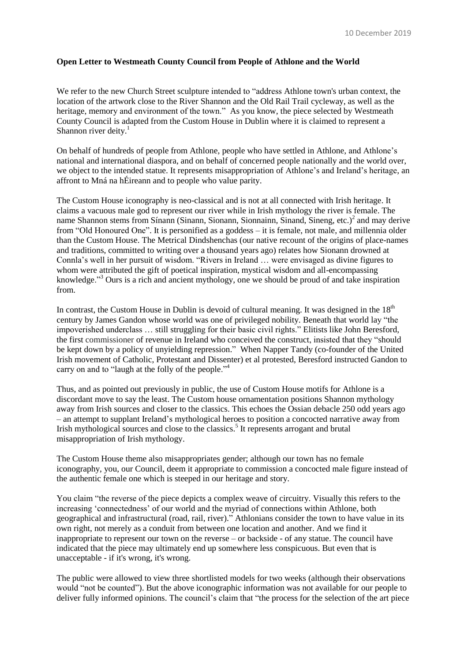## **Open Letter to Westmeath County Council from People of Athlone and the World**

We refer to the new Church Street sculpture intended to "address Athlone town's urban context, the location of the artwork close to the River Shannon and the Old Rail Trail cycleway, as well as the heritage, memory and environment of the town." As you know, the piece selected by Westmeath County Council is adapted from the Custom House in Dublin where it is claimed to represent a Shannon river deity. $<sup>1</sup>$ </sup>

On behalf of hundreds of people from Athlone, people who have settled in Athlone, and Athlone's national and international diaspora, and on behalf of concerned people nationally and the world over, we object to the intended statue. It represents misappropriation of Athlone's and Ireland's heritage, an affront to Mná na hÉireann and to people who value parity.

The Custom House iconography is neo-classical and is not at all connected with Irish heritage. It claims a vacuous male god to represent our river while in Irish mythology the river is female. The name Shannon stems from Sínann (Sinann, Sionann, Sionnainn, Sinand, Sineng, etc.)<sup>2</sup> and may derive from "Old Honoured One". It is personified as a goddess – it is female, not male, and millennia older than the Custom House. The Metrical Dindshenchas (our native recount of the origins of place-names and traditions, committed to writing over a thousand years ago) relates how Sionann drowned at Connla's well in her pursuit of wisdom. "Rivers in Ireland … were envisaged as divine figures to whom were attributed the gift of poetical inspiration, mystical wisdom and all-encompassing knowledge."<sup>3</sup> Ours is a rich and ancient mythology, one we should be proud of and take inspiration from.

In contrast, the Custom House in Dublin is devoid of cultural meaning. It was designed in the  $18<sup>th</sup>$ century by James Gandon whose world was one of privileged nobility. Beneath that world lay "the impoverished underclass … still struggling for their basic civil rights." Elitists like John Beresford, the first commissioner of revenue in Ireland who conceived the construct, insisted that they "should be kept down by a policy of unyielding repression." When Napper Tandy (co-founder of the United Irish movement of Catholic, Protestant and Dissenter) et al protested, Beresford instructed Gandon to carry on and to "laugh at the folly of the people."<sup>4</sup>

Thus, and as pointed out previously in public, the use of Custom House motifs for Athlone is a discordant move to say the least. The Custom house ornamentation positions Shannon mythology away from Irish sources and closer to the classics. This echoes the Ossian debacle 250 odd years ago – an attempt to supplant Ireland's mythological heroes to position a concocted narrative away from Irish mythological sources and close to the classics.<sup>5</sup> It represents arrogant and brutal misappropriation of Irish mythology.

The Custom House theme also misappropriates gender; although our town has no female iconography, you, our Council, deem it appropriate to commission a concocted male figure instead of the authentic female one which is steeped in our heritage and story.

You claim "the reverse of the piece depicts a complex weave of circuitry. Visually this refers to the increasing 'connectedness' of our world and the myriad of connections within Athlone, both geographical and infrastructural (road, rail, river)." Athlonians consider the town to have value in its own right, not merely as a conduit from between one location and another. And we find it inappropriate to represent our town on the reverse – or backside - of any statue. The council have indicated that the piece may ultimately end up somewhere less conspicuous. But even that is unacceptable - if it's wrong, it's wrong.

The public were allowed to view three shortlisted models for two weeks (although their observations would "not be counted"). But the above iconographic information was not available for our people to deliver fully informed opinions. The council's claim that "the process for the selection of the art piece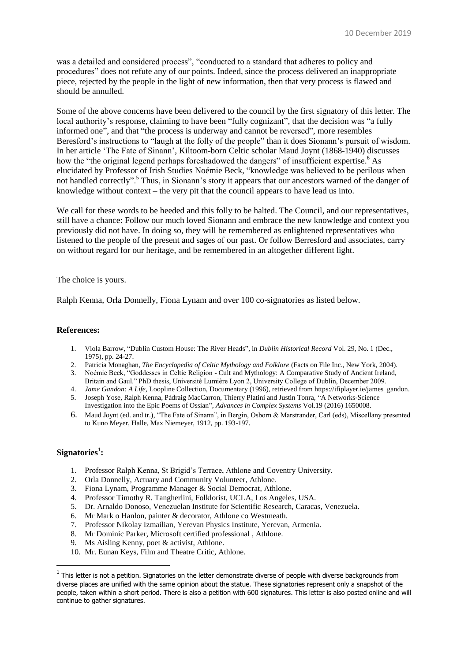was a detailed and considered process", "conducted to a standard that adheres to policy and procedures" does not refute any of our points. Indeed, since the process delivered an inappropriate piece, rejected by the people in the light of new information, then that very process is flawed and should be annulled.

Some of the above concerns have been delivered to the council by the first signatory of this letter. The local authority's response, claiming to have been "fully cognizant", that the decision was "a fully informed one", and that "the process is underway and cannot be reversed", more resembles Beresford's instructions to "laugh at the folly of the people" than it does Sionann's pursuit of wisdom. In her article 'The Fate of Sinann', Kiltoom-born Celtic scholar Maud Joynt (1868-1940) discusses how the "the original legend perhaps foreshadowed the dangers" of insufficient expertise.<sup>6</sup> As elucidated by Professor of Irish Studies Noémie Beck, "knowledge was believed to be perilous when not handled correctly".<sup>5</sup> Thus, in Sionann's story it appears that our ancestors warned of the danger of knowledge without context – the very pit that the council appears to have lead us into.

We call for these words to be heeded and this folly to be halted. The Council, and our representatives, still have a chance: Follow our much loved Sionann and embrace the new knowledge and context you previously did not have. In doing so, they will be remembered as enlightened representatives who listened to the people of the present and sages of our past. Or follow Berresford and associates, carry on without regard for our heritage, and be remembered in an altogether different light.

## The choice is yours.

Ralph Kenna, Orla Donnelly, Fiona Lynam and over 100 co-signatories as listed below.

## **References:**

- 1. Viola Barrow, "Dublin Custom House: The River Heads", in *Dublin Historical Record* Vol. 29, No. 1 (Dec., 1975), pp. 24-27.
- 2. Patricia Monaghan, *The Encyclopedia of Celtic Mythology and Folklore* (Facts on File Inc., New York, 2004).
- 3. Noémie Beck, "Goddesses in Celtic Religion Cult and Mythology: A Comparative Study of Ancient Ireland, Britain and Gaul." PhD thesis, Université Lumière Lyon 2, University College of Dublin, December 2009.
- 4. *Jame Gandon: A Life*, Loopline Collection, Documentary (1996), retrieved from https://ifiplayer.ie/james\_gandon.
- 5. Joseph Yose, Ralph Kenna, Pádraig MacCarron, Thierry Platini and Justin Tonra, "A Networks-Science Investigation into the Epic Poems of Ossian", *Advances in Complex Systems* Vol.19 (2016) 1650008.
- 6. Maud Joynt (ed. and tr.), "The Fate of Sinann", in Bergin, Osborn & Marstrander, Carl (eds), Miscellany presented to Kuno Meyer, Halle, Max Niemeyer, 1912, pp. 193-197.

## **Signatories<sup>1</sup> :**

**.** 

- 1. Professor Ralph Kenna, St Brigid's Terrace, Athlone and Coventry University.
- 2. Orla Donnelly, Actuary and Community Volunteer, Athlone.
- 3. Fiona Lynam, Programme Manager & Social Democrat, Athlone.
- 4. Professor Timothy R. Tangherlini, Folklorist, UCLA, Los Angeles, USA.
- 5. Dr. Arnaldo Donoso, Venezuelan Institute for Scientific Research, Caracas, Venezuela.
- 6. Mr Mark o Hanlon, painter & decorator, Athlone co Westmeath.
- 7. Professor Nikolay Izmailian, Yerevan Physics Institute, Yerevan, Armenia.
- 8. Mr Dominic Parker, Microsoft certified professional , Athlone.
- 9. Ms Aisling Kenny, poet & activist, Athlone.
- 10. Mr. Eunan Keys, Film and Theatre Critic, Athlone.

 $1$  This letter is not a petition. Signatories on the letter demonstrate diverse of people with diverse backgrounds from diverse places are unified with the same opinion about the statue. These signatories represent only a snapshot of the people, taken within a short period. There is also a petition with 600 signatures. This letter is also posted online and will continue to gather signatures.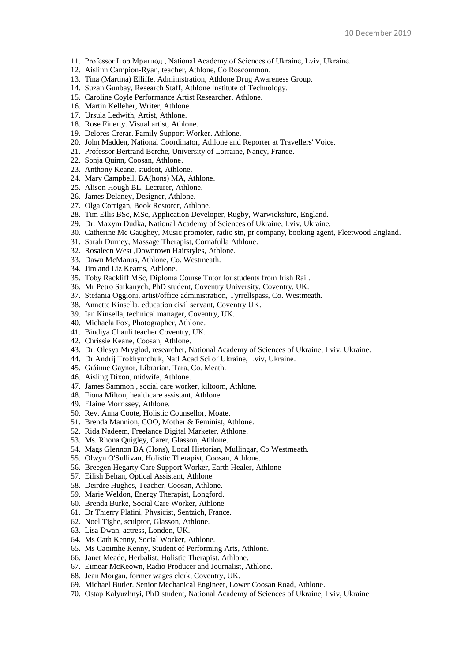- 11. Professor Ігор Мриглод , National Academy of Sciences of Ukraine, Lviv, Ukraine.
- 12. Aislinn Campion-Ryan, teacher, Athlone, Co Roscommon.
- 13. Tina (Martina) Elliffe, Administration, Athlone Drug Awareness Group.
- 14. Suzan Gunbay, Research Staff, Athlone Institute of Technology.
- 15. Caroline Coyle Performance Artist Researcher, Athlone.
- 16. Martin Kelleher, Writer, Athlone.
- 17. Ursula Ledwith, Artist, Athlone.
- 18. Rose Finerty. Visual artist, Athlone.
- 19. Delores Crerar. Family Support Worker. Athlone.
- 20. John Madden, National Coordinator, Athlone and Reporter at Travellers' Voice.
- 21. Professor Bertrand Berche, University of Lorraine, Nancy, France.
- 22. Sonja Quinn, Coosan, Athlone.
- 23. Anthony Keane, student, Athlone.
- 24. Mary Campbell, BA(hons) MA, Athlone.
- 25. Alison Hough BL, Lecturer, Athlone.
- 26. James Delaney, Designer, Athlone.
- 27. Olga Corrigan, Book Restorer, Athlone.
- 28. Tim Ellis BSc, MSc, Application Developer, Rugby, Warwickshire, England.
- 29. Dr. Maxym Dudka, National Academy of Sciences of Ukraine, Lviv, Ukraine.
- 30. Catherine Mc Gaughey, Music promoter, radio stn, pr company, booking agent, Fleetwood England.
- 31. Sarah Durney, Massage Therapist, Cornafulla Athlone.
- 32. Rosaleen West ,Downtown Hairstyles, Athlone.
- 33. Dawn McManus, Athlone, Co. Westmeath.
- 34. Jim and Liz Kearns, Athlone.
- 35. Toby Rackliff MSc, Diploma Course Tutor for students from Irish Rail.
- 36. Mr Petro Sarkanych, PhD student, Coventry University, Coventry, UK.
- 37. Stefania Oggioni, artist/office administration, Tyrrellspass, Co. Westmeath.
- 38. Annette Kinsella, education civil servant, Coventry UK.
- 39. Ian Kinsella, technical manager, Coventry, UK.
- 40. Michaela Fox, Photographer, Athlone.
- 41. Bindiya Chauli teacher Coventry, UK.
- 42. Chrissie Keane, Coosan, Athlone.
- 43. Dr. Olesya Mryglod, researcher, National Academy of Sciences of Ukraine, Lviv, Ukraine.
- 44. Dr Andrij Trokhymchuk, Natl Acad Sci of Ukraine, Lviv, Ukraine.
- 45. Gráinne Gaynor, Librarian. Tara, Co. Meath.
- 46. Aisling Dixon, midwife, Athlone.
- 47. James Sammon , social care worker, kiltoom, Athlone.
- 48. Fiona Milton, healthcare assistant, Athlone.
- 49. Elaine Morrissey, Athlone.
- 50. Rev. Anna Coote, Holistic Counsellor, Moate.
- 51. Brenda Mannion, COO, Mother & Feminist, Athlone.
- 52. Rida Nadeem, Freelance Digital Marketer, Athlone.
- 53. Ms. Rhona Quigley, Carer, Glasson, Athlone.
- 54. Mags Glennon BA (Hons), Local Historian, Mullingar, Co Westmeath.
- 55. Olwyn O'Sullivan, Holistic Therapist, Coosan, Athlone.
- 56. Breegen Hegarty Care Support Worker, Earth Healer, Athlone
- 57. Eilish Behan, Optical Assistant, Athlone.
- 58. Deirdre Hughes, Teacher, Coosan, Athlone.
- 59. Marie Weldon, Energy Therapist, Longford.
- 60. Brenda Burke, Social Care Worker, Athlone
- 61. Dr Thierry Platini, Physicist, Sentzich, France.
- 62. Noel Tighe, sculptor, Glasson, Athlone.
- 63. Lisa Dwan, actress, London, UK.
- 64. Ms Cath Kenny, Social Worker, Athlone.
- 65. Ms Caoimhe Kenny, Student of Performing Arts, Athlone.
- 66. Janet Meade, Herbalist, Holistic Therapist. Athlone.
- 67. Eimear McKeown, Radio Producer and Journalist, Athlone.
- 68. Jean Morgan, former wages clerk, Coventry, UK.
- 69. Michael Butler. Senior Mechanical Engineer, Lower Coosan Road, Athlone.
- 70. Ostap Kalyuzhnyi, PhD student, National Academy of Sciences of Ukraine, Lviv, Ukraine